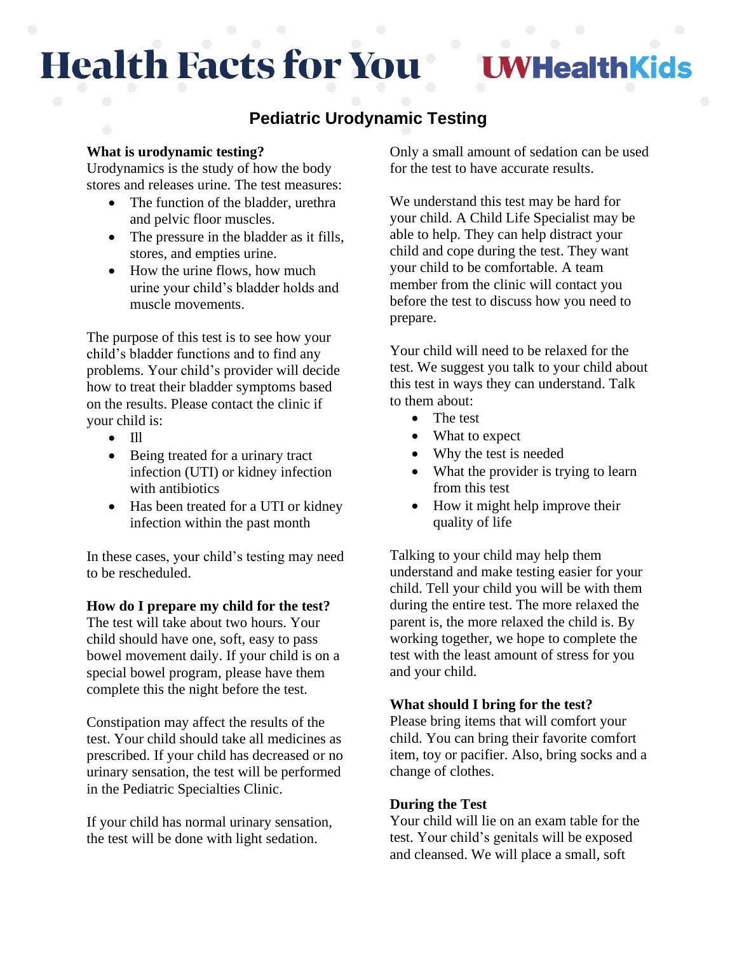# **Health Facts for You**

**I WHealthKids** 

# **Pediatric Urodynamic Testing**

## **What is urodynamic testing?**

Urodynamics is the study of how the body stores and releases urine. The test measures:

- The function of the bladder, urethra and pelvic floor muscles.
- The pressure in the bladder as it fills, stores, and empties urine.
- How the urine flows, how much urine your child's bladder holds and muscle movements.

The purpose of this test is to see how your child's bladder functions and to find any problems. Your child's provider will decide how to treat their bladder symptoms based on the results. Please contact the clinic if your child is:

- Ill
- Being treated for a urinary tract infection (UTI) or kidney infection with antibiotics
- Has been treated for a UTI or kidney infection within the past month

In these cases, your child's testing may need to be rescheduled.

### **How do I prepare my child for the test?**

The test will take about two hours. Your child should have one, soft, easy to pass bowel movement daily. If your child is on a special bowel program, please have them complete this the night before the test.

Constipation may affect the results of the test. Your child should take all medicines as prescribed. If your child has decreased or no urinary sensation, the test will be performed in the Pediatric Specialties Clinic.

If your child has normal urinary sensation, the test will be done with light sedation.

Only a small amount of sedation can be used for the test to have accurate results.

We understand this test may be hard for your child. A Child Life Specialist may be able to help. They can help distract your child and cope during the test. They want your child to be comfortable. A team member from the clinic will contact you before the test to discuss how you need to prepare.

Your child will need to be relaxed for the test. We suggest you talk to your child about this test in ways they can understand. Talk to them about:

- The test
- What to expect
- Why the test is needed
- What the provider is trying to learn from this test
- How it might help improve their quality of life

Talking to your child may help them understand and make testing easier for your child. Tell your child you will be with them during the entire test. The more relaxed the parent is, the more relaxed the child is. By working together, we hope to complete the test with the least amount of stress for you and your child.

### **What should I bring for the test?**

Please bring items that will comfort your child. You can bring their favorite comfort item, toy or pacifier. Also, bring socks and a change of clothes.

### **During the Test**

Your child will lie on an exam table for the test. Your child's genitals will be exposed and cleansed. We will place a small, soft